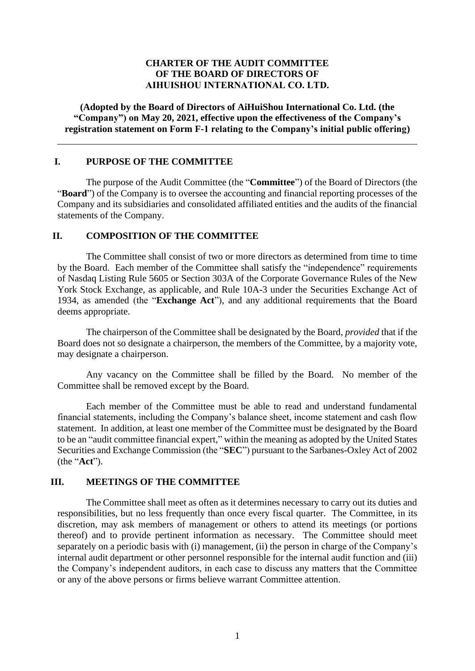## **CHARTER OF THE AUDIT COMMITTEE OF THE BOARD OF DIRECTORS OF AIHUISHOU INTERNATIONAL CO. LTD.**

**(Adopted by the Board of Directors of AiHuiShou International Co. Ltd. (the "Company") on May 20, 2021, effective upon the effectiveness of the Company's registration statement on Form F-1 relating to the Company's initial public offering)**

#### **I. PURPOSE OF THE COMMITTEE**

The purpose of the Audit Committee (the "**Committee**") of the Board of Directors (the "**Board**") of the Company is to oversee the accounting and financial reporting processes of the Company and its subsidiaries and consolidated affiliated entities and the audits of the financial statements of the Company.

#### **II. COMPOSITION OF THE COMMITTEE**

The Committee shall consist of two or more directors as determined from time to time by the Board. Each member of the Committee shall satisfy the "independence" requirements of Nasdaq Listing Rule 5605 or Section 303A of the Corporate Governance Rules of the New York Stock Exchange, as applicable, and Rule 10A-3 under the Securities Exchange Act of 1934, as amended (the "**Exchange Act**"), and any additional requirements that the Board deems appropriate.

The chairperson of the Committee shall be designated by the Board, *provided* that if the Board does not so designate a chairperson, the members of the Committee, by a majority vote, may designate a chairperson.

Any vacancy on the Committee shall be filled by the Board. No member of the Committee shall be removed except by the Board.

Each member of the Committee must be able to read and understand fundamental financial statements, including the Company's balance sheet, income statement and cash flow statement. In addition, at least one member of the Committee must be designated by the Board to be an "audit committee financial expert," within the meaning as adopted by the United States Securities and Exchange Commission (the "**SEC**") pursuant to the Sarbanes-Oxley Act of 2002 (the "**Act**").

#### **III. MEETINGS OF THE COMMITTEE**

The Committee shall meet as often as it determines necessary to carry out its duties and responsibilities, but no less frequently than once every fiscal quarter. The Committee, in its discretion, may ask members of management or others to attend its meetings (or portions thereof) and to provide pertinent information as necessary. The Committee should meet separately on a periodic basis with (i) management, (ii) the person in charge of the Company's internal audit department or other personnel responsible for the internal audit function and (iii) the Company's independent auditors, in each case to discuss any matters that the Committee or any of the above persons or firms believe warrant Committee attention.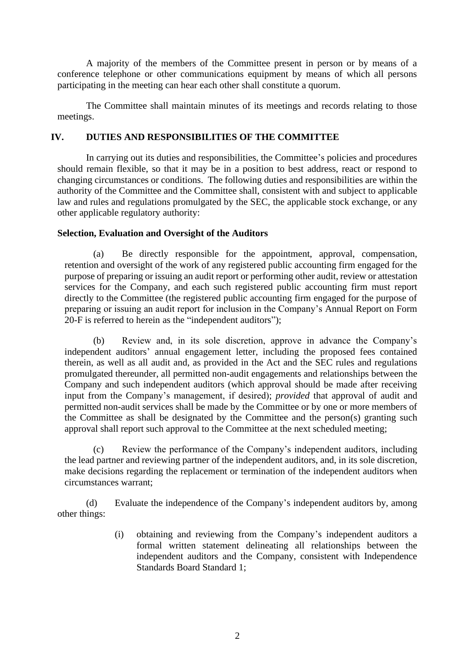A majority of the members of the Committee present in person or by means of a conference telephone or other communications equipment by means of which all persons participating in the meeting can hear each other shall constitute a quorum.

The Committee shall maintain minutes of its meetings and records relating to those meetings.

# **IV. DUTIES AND RESPONSIBILITIES OF THE COMMITTEE**

In carrying out its duties and responsibilities, the Committee's policies and procedures should remain flexible, so that it may be in a position to best address, react or respond to changing circumstances or conditions. The following duties and responsibilities are within the authority of the Committee and the Committee shall, consistent with and subject to applicable law and rules and regulations promulgated by the SEC, the applicable stock exchange, or any other applicable regulatory authority:

# **Selection, Evaluation and Oversight of the Auditors**

(a) Be directly responsible for the appointment, approval, compensation, retention and oversight of the work of any registered public accounting firm engaged for the purpose of preparing or issuing an audit report or performing other audit, review or attestation services for the Company, and each such registered public accounting firm must report directly to the Committee (the registered public accounting firm engaged for the purpose of preparing or issuing an audit report for inclusion in the Company's Annual Report on Form 20-F is referred to herein as the "independent auditors");

(b) Review and, in its sole discretion, approve in advance the Company's independent auditors' annual engagement letter, including the proposed fees contained therein, as well as all audit and, as provided in the Act and the SEC rules and regulations promulgated thereunder, all permitted non-audit engagements and relationships between the Company and such independent auditors (which approval should be made after receiving input from the Company's management, if desired); *provided* that approval of audit and permitted non-audit services shall be made by the Committee or by one or more members of the Committee as shall be designated by the Committee and the person(s) granting such approval shall report such approval to the Committee at the next scheduled meeting;

(c) Review the performance of the Company's independent auditors, including the lead partner and reviewing partner of the independent auditors, and, in its sole discretion, make decisions regarding the replacement or termination of the independent auditors when circumstances warrant;

(d) Evaluate the independence of the Company's independent auditors by, among other things:

> (i) obtaining and reviewing from the Company's independent auditors a formal written statement delineating all relationships between the independent auditors and the Company, consistent with Independence Standards Board Standard 1;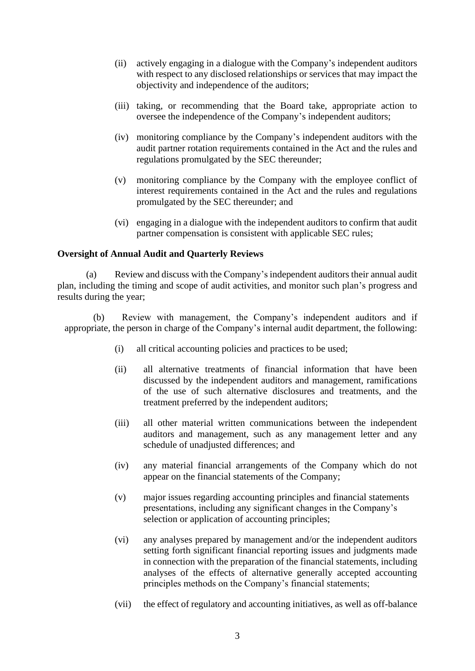- (ii) actively engaging in a dialogue with the Company's independent auditors with respect to any disclosed relationships or services that may impact the objectivity and independence of the auditors;
- (iii) taking, or recommending that the Board take, appropriate action to oversee the independence of the Company's independent auditors;
- (iv) monitoring compliance by the Company's independent auditors with the audit partner rotation requirements contained in the Act and the rules and regulations promulgated by the SEC thereunder;
- (v) monitoring compliance by the Company with the employee conflict of interest requirements contained in the Act and the rules and regulations promulgated by the SEC thereunder; and
- (vi) engaging in a dialogue with the independent auditors to confirm that audit partner compensation is consistent with applicable SEC rules;

#### **Oversight of Annual Audit and Quarterly Reviews**

(a) Review and discuss with the Company's independent auditors their annual audit plan, including the timing and scope of audit activities, and monitor such plan's progress and results during the year;

(b) Review with management, the Company's independent auditors and if appropriate, the person in charge of the Company's internal audit department, the following:

- (i) all critical accounting policies and practices to be used;
- (ii) all alternative treatments of financial information that have been discussed by the independent auditors and management, ramifications of the use of such alternative disclosures and treatments, and the treatment preferred by the independent auditors;
- (iii) all other material written communications between the independent auditors and management, such as any management letter and any schedule of unadjusted differences; and
- (iv) any material financial arrangements of the Company which do not appear on the financial statements of the Company;
- (v) major issues regarding accounting principles and financial statements presentations, including any significant changes in the Company's selection or application of accounting principles;
- (vi) any analyses prepared by management and/or the independent auditors setting forth significant financial reporting issues and judgments made in connection with the preparation of the financial statements, including analyses of the effects of alternative generally accepted accounting principles methods on the Company's financial statements;
- (vii) the effect of regulatory and accounting initiatives, as well as off-balance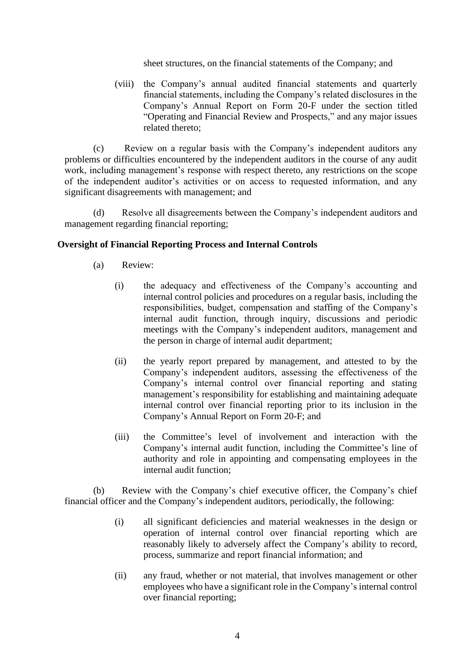sheet structures, on the financial statements of the Company; and

(viii) the Company's annual audited financial statements and quarterly financial statements, including the Company's related disclosures in the Company's Annual Report on Form 20-F under the section titled "Operating and Financial Review and Prospects," and any major issues related thereto;

(c) Review on a regular basis with the Company's independent auditors any problems or difficulties encountered by the independent auditors in the course of any audit work, including management's response with respect thereto, any restrictions on the scope of the independent auditor's activities or on access to requested information, and any significant disagreements with management; and

(d) Resolve all disagreements between the Company's independent auditors and management regarding financial reporting;

#### **Oversight of Financial Reporting Process and Internal Controls**

- (a) Review:
	- (i) the adequacy and effectiveness of the Company's accounting and internal control policies and procedures on a regular basis, including the responsibilities, budget, compensation and staffing of the Company's internal audit function, through inquiry, discussions and periodic meetings with the Company's independent auditors, management and the person in charge of internal audit department;
	- (ii) the yearly report prepared by management, and attested to by the Company's independent auditors, assessing the effectiveness of the Company's internal control over financial reporting and stating management's responsibility for establishing and maintaining adequate internal control over financial reporting prior to its inclusion in the Company's Annual Report on Form 20-F; and
	- (iii) the Committee's level of involvement and interaction with the Company's internal audit function, including the Committee's line of authority and role in appointing and compensating employees in the internal audit function;

(b) Review with the Company's chief executive officer, the Company's chief financial officer and the Company's independent auditors, periodically, the following:

- (i) all significant deficiencies and material weaknesses in the design or operation of internal control over financial reporting which are reasonably likely to adversely affect the Company's ability to record, process, summarize and report financial information; and
- (ii) any fraud, whether or not material, that involves management or other employees who have a significant role in the Company's internal control over financial reporting;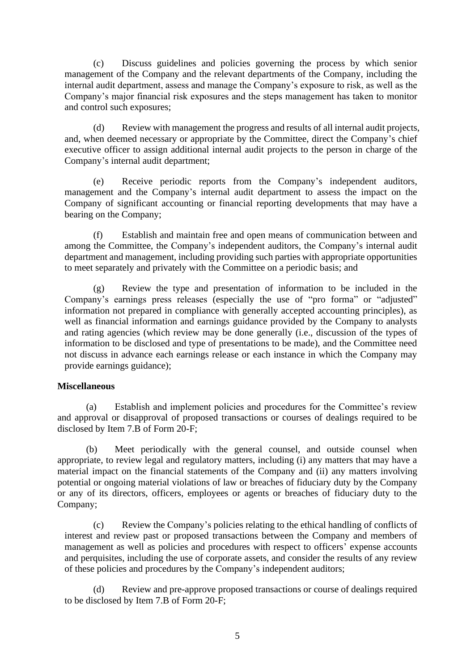(c) Discuss guidelines and policies governing the process by which senior management of the Company and the relevant departments of the Company, including the internal audit department, assess and manage the Company's exposure to risk, as well as the Company's major financial risk exposures and the steps management has taken to monitor and control such exposures;

(d) Review with management the progress and results of all internal audit projects, and, when deemed necessary or appropriate by the Committee, direct the Company's chief executive officer to assign additional internal audit projects to the person in charge of the Company's internal audit department;

(e) Receive periodic reports from the Company's independent auditors, management and the Company's internal audit department to assess the impact on the Company of significant accounting or financial reporting developments that may have a bearing on the Company;

(f) Establish and maintain free and open means of communication between and among the Committee, the Company's independent auditors, the Company's internal audit department and management, including providing such parties with appropriate opportunities to meet separately and privately with the Committee on a periodic basis; and

(g) Review the type and presentation of information to be included in the Company's earnings press releases (especially the use of "pro forma" or "adjusted" information not prepared in compliance with generally accepted accounting principles), as well as financial information and earnings guidance provided by the Company to analysts and rating agencies (which review may be done generally (i.e., discussion of the types of information to be disclosed and type of presentations to be made), and the Committee need not discuss in advance each earnings release or each instance in which the Company may provide earnings guidance);

#### **Miscellaneous**

(a) Establish and implement policies and procedures for the Committee's review and approval or disapproval of proposed transactions or courses of dealings required to be disclosed by Item 7.B of Form 20-F;

(b) Meet periodically with the general counsel, and outside counsel when appropriate, to review legal and regulatory matters, including (i) any matters that may have a material impact on the financial statements of the Company and (ii) any matters involving potential or ongoing material violations of law or breaches of fiduciary duty by the Company or any of its directors, officers, employees or agents or breaches of fiduciary duty to the Company;

(c) Review the Company's policies relating to the ethical handling of conflicts of interest and review past or proposed transactions between the Company and members of management as well as policies and procedures with respect to officers' expense accounts and perquisites, including the use of corporate assets, and consider the results of any review of these policies and procedures by the Company's independent auditors;

(d) Review and pre-approve proposed transactions or course of dealings required to be disclosed by Item 7.B of Form 20-F;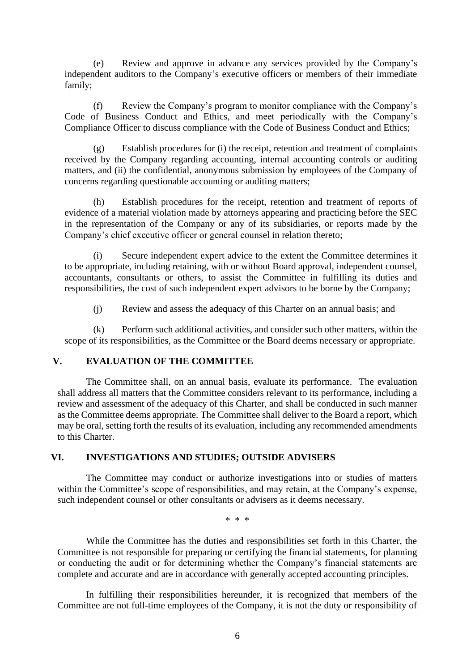(e) Review and approve in advance any services provided by the Company's independent auditors to the Company's executive officers or members of their immediate family;

(f) Review the Company's program to monitor compliance with the Company's Code of Business Conduct and Ethics, and meet periodically with the Company's Compliance Officer to discuss compliance with the Code of Business Conduct and Ethics;

(g) Establish procedures for (i) the receipt, retention and treatment of complaints received by the Company regarding accounting, internal accounting controls or auditing matters, and (ii) the confidential, anonymous submission by employees of the Company of concerns regarding questionable accounting or auditing matters;

(h) Establish procedures for the receipt, retention and treatment of reports of evidence of a material violation made by attorneys appearing and practicing before the SEC in the representation of the Company or any of its subsidiaries, or reports made by the Company's chief executive officer or general counsel in relation thereto;

(i) Secure independent expert advice to the extent the Committee determines it to be appropriate, including retaining, with or without Board approval, independent counsel, accountants, consultants or others, to assist the Committee in fulfilling its duties and responsibilities, the cost of such independent expert advisors to be borne by the Company;

(j) Review and assess the adequacy of this Charter on an annual basis; and

(k) Perform such additional activities, and consider such other matters, within the scope of its responsibilities, as the Committee or the Board deems necessary or appropriate.

#### **V. EVALUATION OF THE COMMITTEE**

The Committee shall, on an annual basis, evaluate its performance. The evaluation shall address all matters that the Committee considers relevant to its performance, including a review and assessment of the adequacy of this Charter, and shall be conducted in such manner as the Committee deems appropriate. The Committee shall deliver to the Board a report, which may be oral, setting forth the results of its evaluation, including any recommended amendments to this Charter.

## **VI. INVESTIGATIONS AND STUDIES; OUTSIDE ADVISERS**

The Committee may conduct or authorize investigations into or studies of matters within the Committee's scope of responsibilities, and may retain, at the Company's expense, such independent counsel or other consultants or advisers as it deems necessary.

\* \* \*

While the Committee has the duties and responsibilities set forth in this Charter, the Committee is not responsible for preparing or certifying the financial statements, for planning or conducting the audit or for determining whether the Company's financial statements are complete and accurate and are in accordance with generally accepted accounting principles.

In fulfilling their responsibilities hereunder, it is recognized that members of the Committee are not full-time employees of the Company, it is not the duty or responsibility of